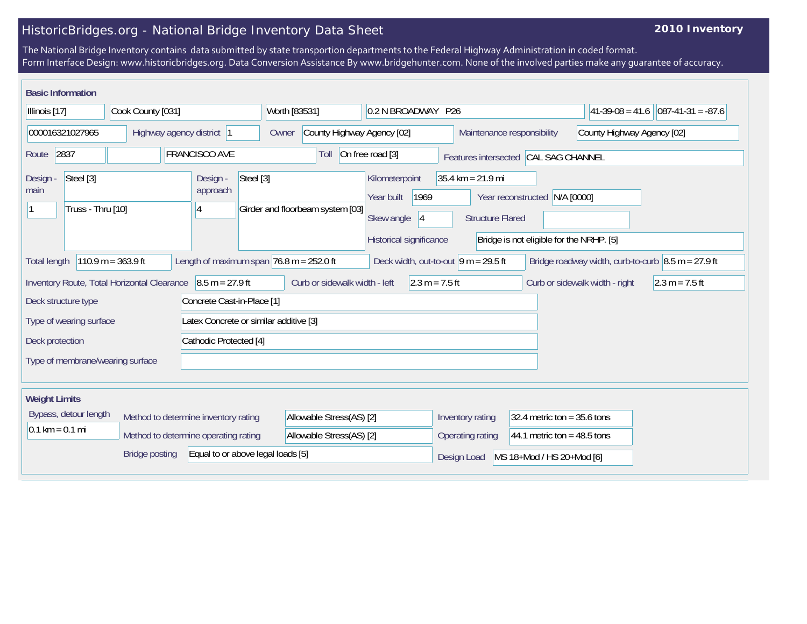## HistoricBridges.org - National Bridge Inventory Data Sheet

## **2010 Inventory**

The National Bridge Inventory contains data submitted by state transportion departments to the Federal Highway Administration in coded format. Form Interface Design: www.historicbridges.org. Data Conversion Assistance By www.bridgehunter.com. None of the involved parties make any guarantee of accuracy.

| <b>Basic Information</b>                                                                                                                                                                                           |                                                                                                                                                                             |                                        |                                     |                                                                                     |                                                                |                                                                           |                                           |
|--------------------------------------------------------------------------------------------------------------------------------------------------------------------------------------------------------------------|-----------------------------------------------------------------------------------------------------------------------------------------------------------------------------|----------------------------------------|-------------------------------------|-------------------------------------------------------------------------------------|----------------------------------------------------------------|---------------------------------------------------------------------------|-------------------------------------------|
| Illinois [17]                                                                                                                                                                                                      | Cook County [031]                                                                                                                                                           |                                        | Worth [83531]                       | 0.2 N BROADWAY P26                                                                  |                                                                |                                                                           | $ 087-41-31 = -87.6$<br>$ 41-39-08=41.6 $ |
| 000016321027965                                                                                                                                                                                                    |                                                                                                                                                                             | Highway agency district 1              | County Highway Agency [02]<br>Owner |                                                                                     | Maintenance responsibility                                     |                                                                           | County Highway Agency [02]                |
| 2837<br>Route                                                                                                                                                                                                      |                                                                                                                                                                             | <b>FRANCISCO AVE</b>                   | Toll                                | On free road [3]                                                                    |                                                                | Features intersected CAL SAG CHANNEL                                      |                                           |
| Steel [3]<br>Design -<br>main<br>Truss - Thru [10]                                                                                                                                                                 |                                                                                                                                                                             | Steel [3]<br>Design -<br>approach<br>4 | Girder and floorbeam system [03]    | Kilometerpoint<br>1969<br>Year built<br>Skew angle<br> 4<br>Historical significance | $35.4 \text{ km} = 21.9 \text{ mi}$<br><b>Structure Flared</b> | Year reconstructed N/A [0000]<br>Bridge is not eligible for the NRHP. [5] |                                           |
| $110.9 m = 363.9 ft$<br>Length of maximum span $76.8$ m = 252.0 ft<br>Bridge roadway width, curb-to-curb $\vert 8.5 \text{ m} = 27.9 \text{ ft}$<br>Deck width, out-to-out $ 9 m = 29.5$ ft<br><b>Total length</b> |                                                                                                                                                                             |                                        |                                     |                                                                                     |                                                                |                                                                           |                                           |
|                                                                                                                                                                                                                    | $8.5 m = 27.9 ft$<br>Curb or sidewalk width - left<br>$2.3 m = 7.5 ft$<br>Inventory Route, Total Horizontal Clearance<br>Curb or sidewalk width - right<br>$2.3 m = 7.5 ft$ |                                        |                                     |                                                                                     |                                                                |                                                                           |                                           |
| Concrete Cast-in-Place [1]<br>Deck structure type                                                                                                                                                                  |                                                                                                                                                                             |                                        |                                     |                                                                                     |                                                                |                                                                           |                                           |
| Latex Concrete or similar additive [3]<br>Type of wearing surface                                                                                                                                                  |                                                                                                                                                                             |                                        |                                     |                                                                                     |                                                                |                                                                           |                                           |
| Deck protection                                                                                                                                                                                                    |                                                                                                                                                                             | Cathodic Protected [4]                 |                                     |                                                                                     |                                                                |                                                                           |                                           |
| Type of membrane/wearing surface                                                                                                                                                                                   |                                                                                                                                                                             |                                        |                                     |                                                                                     |                                                                |                                                                           |                                           |
| <b>Weight Limits</b>                                                                                                                                                                                               |                                                                                                                                                                             |                                        |                                     |                                                                                     |                                                                |                                                                           |                                           |
| Bypass, detour length                                                                                                                                                                                              |                                                                                                                                                                             | Method to determine inventory rating   | Allowable Stress(AS) [2]            |                                                                                     | Inventory rating                                               | 32.4 metric ton = $35.6$ tons                                             |                                           |
| $0.1 \text{ km} = 0.1 \text{ mi}$                                                                                                                                                                                  |                                                                                                                                                                             | Method to determine operating rating   | Allowable Stress(AS) [2]            |                                                                                     | Operating rating                                               | 44.1 metric ton = $48.5$ tons                                             |                                           |
|                                                                                                                                                                                                                    | <b>Bridge posting</b>                                                                                                                                                       | Equal to or above legal loads [5]      |                                     |                                                                                     | Design Load                                                    | MS 18+Mod / HS 20+Mod [6]                                                 |                                           |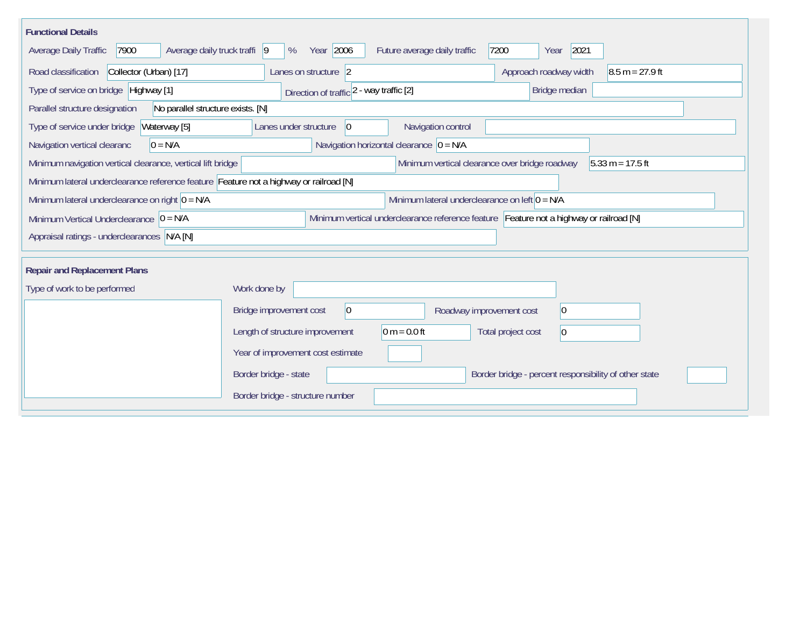| <b>Functional Details</b>                                                              |                                                                                         |  |  |  |
|----------------------------------------------------------------------------------------|-----------------------------------------------------------------------------------------|--|--|--|
| Average daily truck traffi 9<br>7900<br>Average Daily Traffic                          | Year 2006<br>2021<br>Future average daily traffic<br>7200<br>%<br>Year                  |  |  |  |
| Road classification<br>Collector (Urban) [17]                                          | Approach roadway width<br>$8.5 m = 27.9 ft$<br>Lanes on structure 2                     |  |  |  |
| Type of service on bridge Highway [1]                                                  | Bridge median<br>Direction of traffic 2 - way traffic [2]                               |  |  |  |
| Parallel structure designation<br>No parallel structure exists. [N]                    |                                                                                         |  |  |  |
| Type of service under bridge<br>Waterway [5]                                           | Navigation control<br>Lanes under structure<br>10                                       |  |  |  |
| Navigation vertical clearanc<br>$0 = N/A$                                              | Navigation horizontal clearance $ 0 = N/A $                                             |  |  |  |
| Minimum navigation vertical clearance, vertical lift bridge                            | Minimum vertical clearance over bridge roadway<br>$5.33 m = 17.5 ft$                    |  |  |  |
| Minimum lateral underclearance reference feature Feature not a highway or railroad [N] |                                                                                         |  |  |  |
| Minimum lateral underclearance on right $0 = N/A$                                      | Minimum lateral underclearance on left $0 = N/A$                                        |  |  |  |
| Minimum Vertical Underclearance $ 0 = N/A $                                            | Minimum vertical underclearance reference feature Feature not a highway or railroad [N] |  |  |  |
| Appraisal ratings - underclearances N/A [N]                                            |                                                                                         |  |  |  |
|                                                                                        |                                                                                         |  |  |  |
| <b>Repair and Replacement Plans</b>                                                    |                                                                                         |  |  |  |
| Type of work to be performed                                                           | Work done by                                                                            |  |  |  |
|                                                                                        | Bridge improvement cost<br> 0 <br>$ 0\rangle$<br>Roadway improvement cost               |  |  |  |
|                                                                                        | $0 m = 0.0 ft$<br>Length of structure improvement<br>Total project cost<br> 0           |  |  |  |
|                                                                                        | Year of improvement cost estimate                                                       |  |  |  |
|                                                                                        | Border bridge - state<br>Border bridge - percent responsibility of other state          |  |  |  |
|                                                                                        | Border bridge - structure number                                                        |  |  |  |